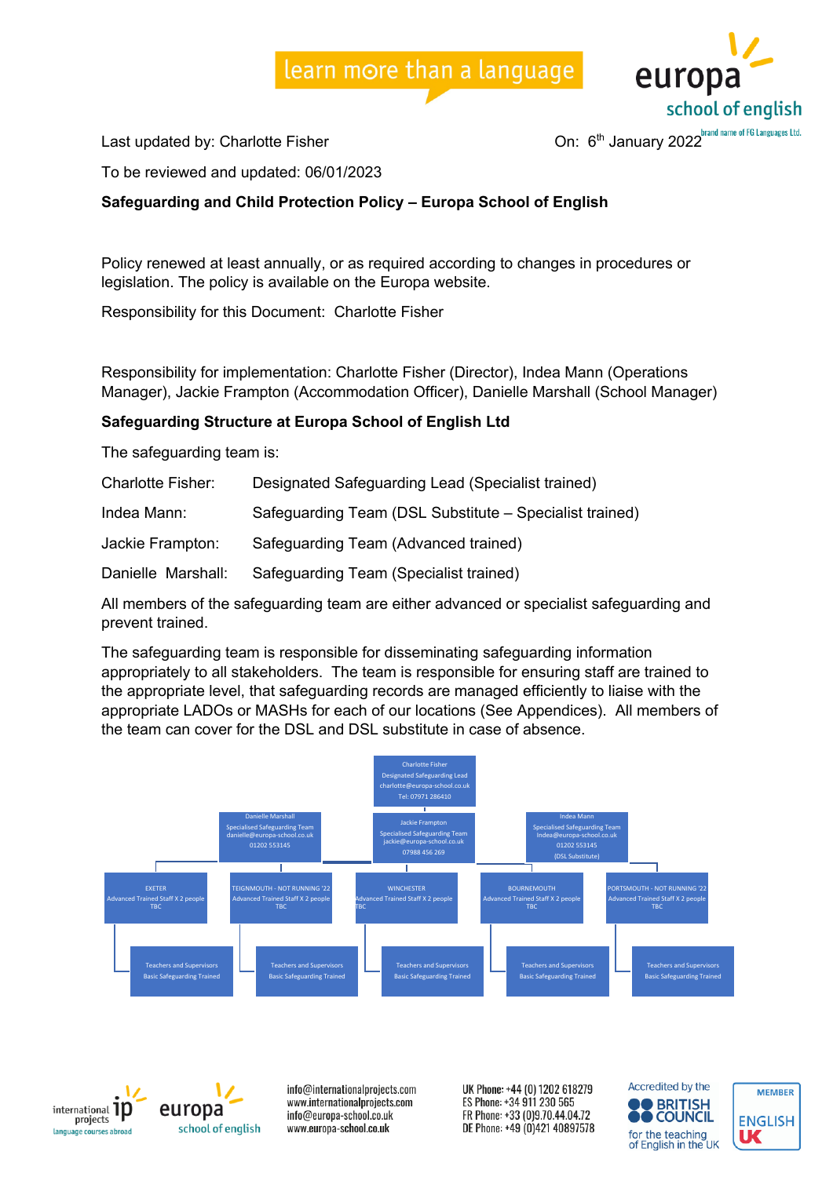learn more than a language



Last updated by: Charlotte Fisher **Charlotte Fisher Controller Controller** Con: 6<sup>th</sup> January 2022<sup>brand name of FG Languages Ltd.</sup>

To be reviewed and updated: 06/01/2023

#### **Safeguarding and Child Protection Policy – Europa School of English**

Policy renewed at least annually, or as required according to changes in procedures or legislation. The policy is available on the Europa website.

Responsibility for this Document: Charlotte Fisher

Responsibility for implementation: Charlotte Fisher (Director), Indea Mann (Operations Manager), Jackie Frampton (Accommodation Officer), Danielle Marshall (School Manager)

#### **Safeguarding Structure at Europa School of English Ltd**

The safeguarding team is:

| <b>Charlotte Fisher:</b> | Designated Safeguarding Lead (Specialist trained)       |
|--------------------------|---------------------------------------------------------|
| Indea Mann:              | Safeguarding Team (DSL Substitute – Specialist trained) |
| Jackie Frampton:         | Safeguarding Team (Advanced trained)                    |
| Danielle Marshall:       | Safeguarding Team (Specialist trained)                  |

All members of the safeguarding team are either advanced or specialist safeguarding and prevent trained.

The safeguarding team is responsible for disseminating safeguarding information appropriately to all stakeholders. The team is responsible for ensuring staff are trained to the appropriate level, that safeguarding records are managed efficiently to liaise with the appropriate LADOs or MASHs for each of our locations (See Appendices). All members of the team can cover for the DSL and DSL substitute in case of absence.





europa school of english

info@internationalprojects.com www.internationalprojects.com info@europa-school.co.uk www.europa-school.co.uk

UK Phone: +44 (0) 1202 618279 ES Phone: +34 911 230 565 FR Phone: +33 (0)9.70.44.04.72 DE Phone: +49 (0)421 40897578



**MEMBER** 

**ENGLISH** 

UC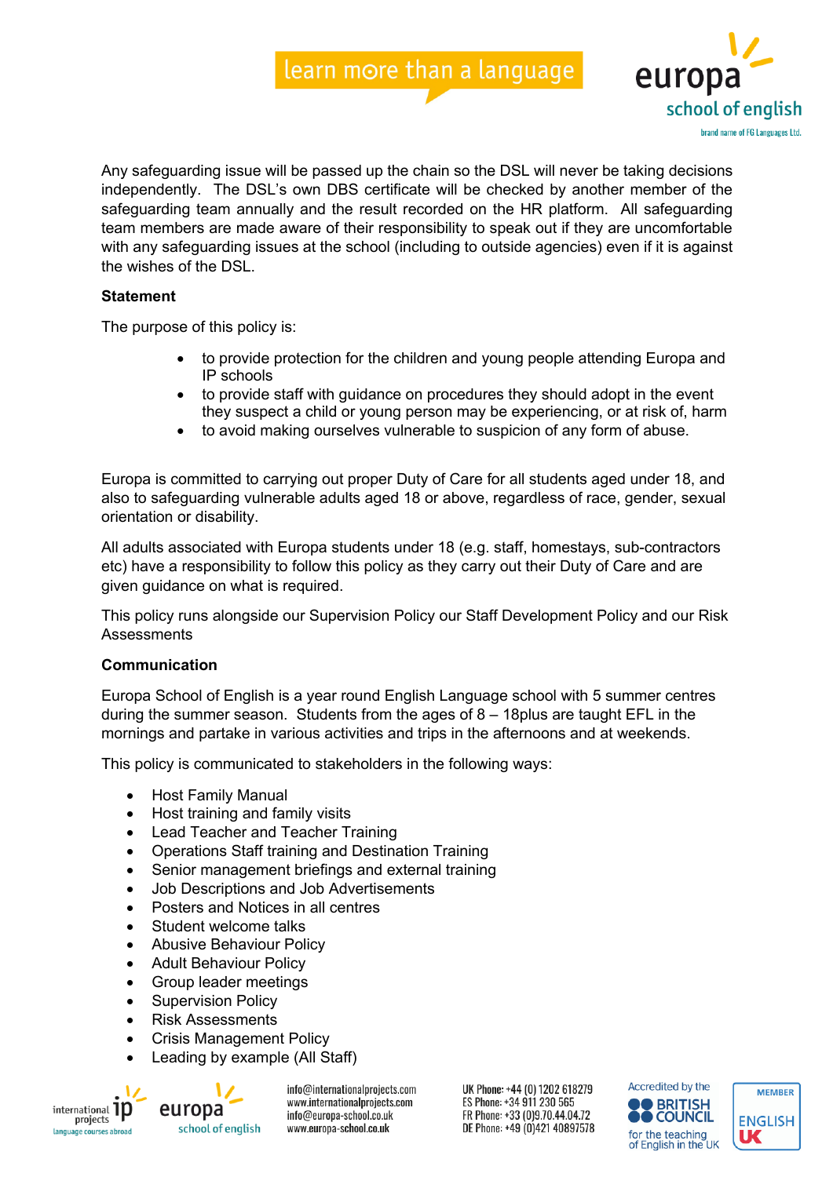

Any safeguarding issue will be passed up the chain so the DSL will never be taking decisions independently. The DSL's own DBS certificate will be checked by another member of the safeguarding team annually and the result recorded on the HR platform. All safeguarding team members are made aware of their responsibility to speak out if they are uncomfortable with any safeguarding issues at the school (including to outside agencies) even if it is against the wishes of the DSL.

#### **Statement**

The purpose of this policy is:

- to provide protection for the children and young people attending Europa and IP schools
- to provide staff with guidance on procedures they should adopt in the event they suspect a child or young person may be experiencing, or at risk of, harm
- to avoid making ourselves vulnerable to suspicion of any form of abuse.

Europa is committed to carrying out proper Duty of Care for all students aged under 18, and also to safeguarding vulnerable adults aged 18 or above, regardless of race, gender, sexual orientation or disability.

All adults associated with Europa students under 18 (e.g. staff, homestays, sub-contractors etc) have a responsibility to follow this policy as they carry out their Duty of Care and are given guidance on what is required.

This policy runs alongside our Supervision Policy our Staff Development Policy and our Risk **Assessments** 

#### **Communication**

Europa School of English is a year round English Language school with 5 summer centres during the summer season. Students from the ages of  $8 - 18$  plus are taught EFL in the mornings and partake in various activities and trips in the afternoons and at weekends.

This policy is communicated to stakeholders in the following ways:

- Host Family Manual
- Host training and family visits
- Lead Teacher and Teacher Training
- Operations Staff training and Destination Training
- Senior management briefings and external training
- Job Descriptions and Job Advertisements
- Posters and Notices in all centres
- Student welcome talks
- Abusive Behaviour Policy
- Adult Behaviour Policy
- Group leader meetings
- Supervision Policy
- Risk Assessments
- Crisis Management Policy
- Leading by example (All Staff)



europa school of english info@internationalprojects.com www.internationalprojects.com info@europa-school.co.uk www.europa-school.co.uk



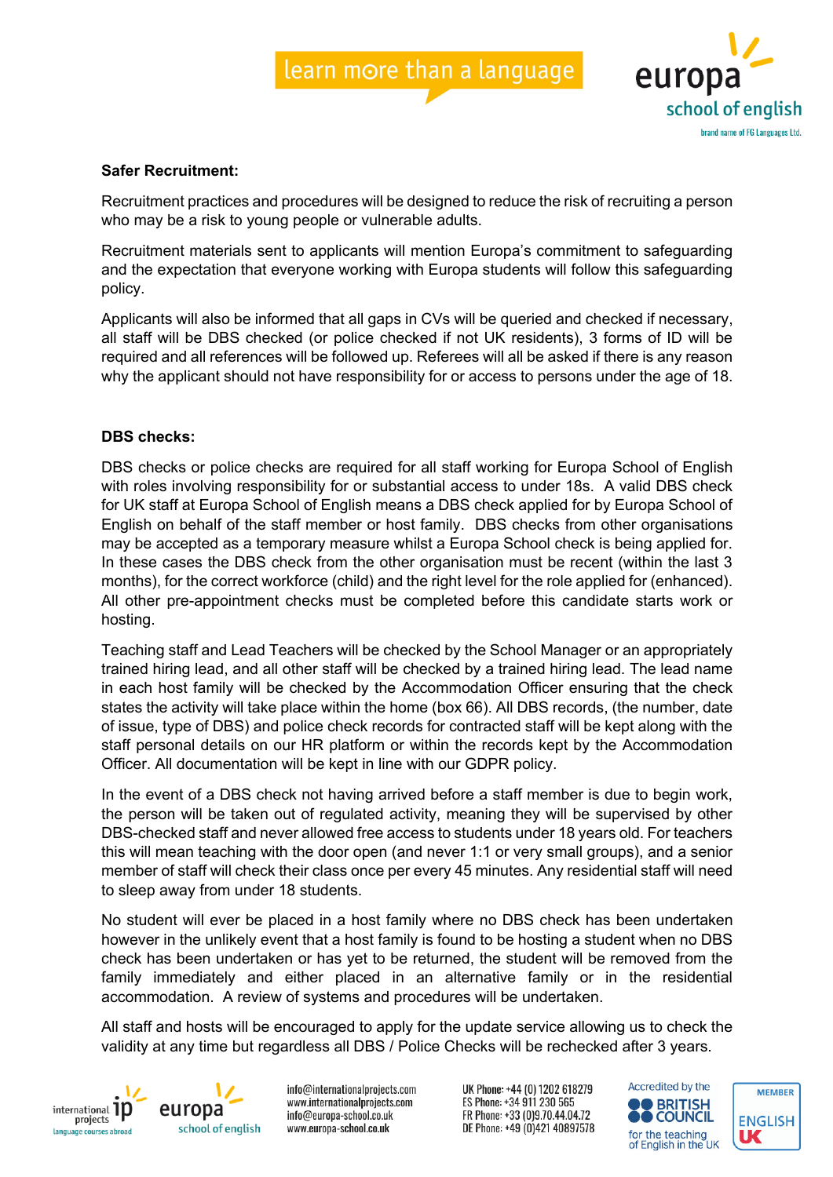



#### **Safer Recruitment:**

Recruitment practices and procedures will be designed to reduce the risk of recruiting a person who may be a risk to young people or vulnerable adults.

Recruitment materials sent to applicants will mention Europa's commitment to safeguarding and the expectation that everyone working with Europa students will follow this safeguarding policy.

Applicants will also be informed that all gaps in CVs will be queried and checked if necessary, all staff will be DBS checked (or police checked if not UK residents), 3 forms of ID will be required and all references will be followed up. Referees will all be asked if there is any reason why the applicant should not have responsibility for or access to persons under the age of 18.

#### **DBS checks:**

DBS checks or police checks are required for all staff working for Europa School of English with roles involving responsibility for or substantial access to under 18s. A valid DBS check for UK staff at Europa School of English means a DBS check applied for by Europa School of English on behalf of the staff member or host family. DBS checks from other organisations may be accepted as a temporary measure whilst a Europa School check is being applied for. In these cases the DBS check from the other organisation must be recent (within the last 3 months), for the correct workforce (child) and the right level for the role applied for (enhanced). All other pre-appointment checks must be completed before this candidate starts work or hosting.

Teaching staff and Lead Teachers will be checked by the School Manager or an appropriately trained hiring lead, and all other staff will be checked by a trained hiring lead. The lead name in each host family will be checked by the Accommodation Officer ensuring that the check states the activity will take place within the home (box 66). All DBS records, (the number, date of issue, type of DBS) and police check records for contracted staff will be kept along with the staff personal details on our HR platform or within the records kept by the Accommodation Officer. All documentation will be kept in line with our GDPR policy.

In the event of a DBS check not having arrived before a staff member is due to begin work, the person will be taken out of regulated activity, meaning they will be supervised by other DBS-checked staff and never allowed free access to students under 18 years old. For teachers this will mean teaching with the door open (and never 1:1 or very small groups), and a senior member of staff will check their class once per every 45 minutes. Any residential staff will need to sleep away from under 18 students.

No student will ever be placed in a host family where no DBS check has been undertaken however in the unlikely event that a host family is found to be hosting a student when no DBS check has been undertaken or has yet to be returned, the student will be removed from the family immediately and either placed in an alternative family or in the residential accommodation. A review of systems and procedures will be undertaken.

All staff and hosts will be encouraged to apply for the update service allowing us to check the validity at any time but regardless all DBS / Police Checks will be rechecked after 3 years.



europa school of english

info@internationalprojects.com www.internationalprojects.com info@europa-school.co.uk www.europa-school.co.uk



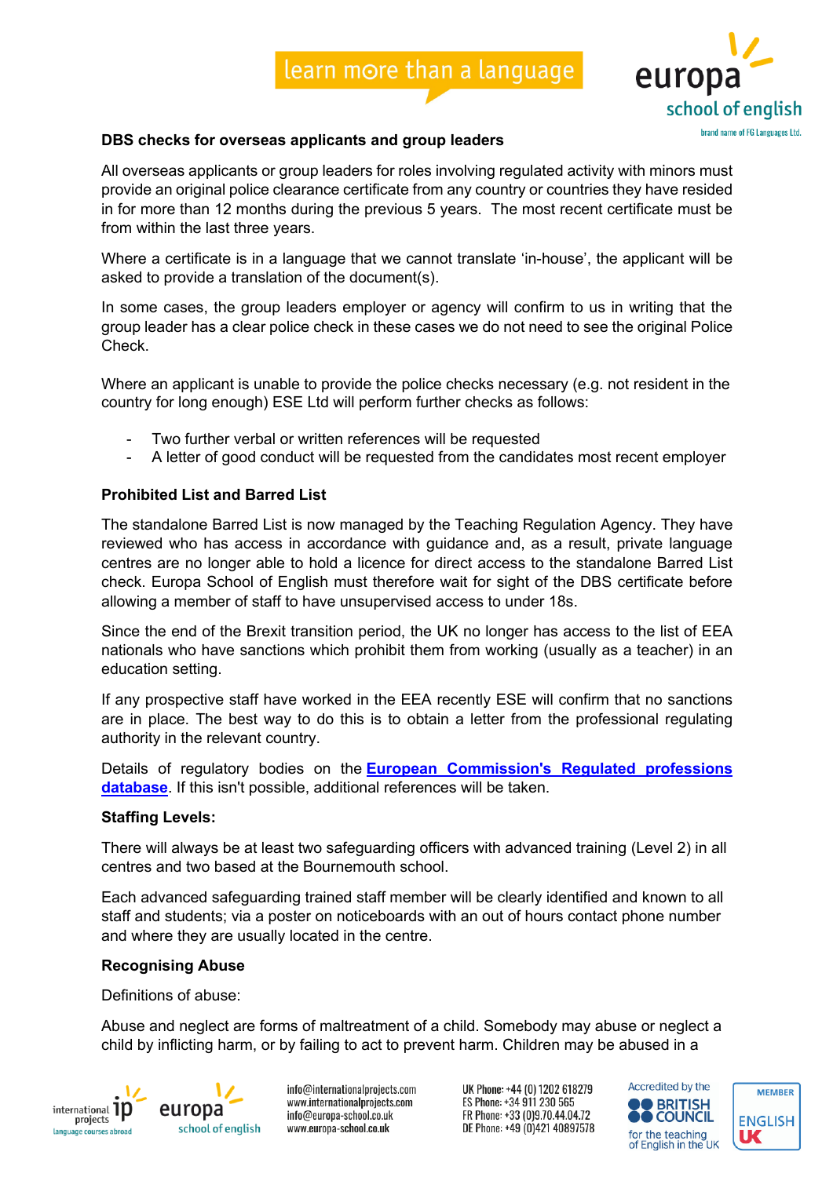

#### **DBS checks for overseas applicants and group leaders**

All overseas applicants or group leaders for roles involving regulated activity with minors must provide an original police clearance certificate from any country or countries they have resided in for more than 12 months during the previous 5 years. The most recent certificate must be from within the last three years.

Where a certificate is in a language that we cannot translate 'in-house', the applicant will be asked to provide a translation of the document(s).

In some cases, the group leaders employer or agency will confirm to us in writing that the group leader has a clear police check in these cases we do not need to see the original Police Check.

Where an applicant is unable to provide the police checks necessary (e.g. not resident in the country for long enough) ESE Ltd will perform further checks as follows:

- Two further verbal or written references will be requested
- A letter of good conduct will be requested from the candidates most recent employer

#### **Prohibited List and Barred List**

The standalone Barred List is now managed by the Teaching Regulation Agency. They have reviewed who has access in accordance with guidance and, as a result, private language centres are no longer able to hold a licence for direct access to the standalone Barred List check. Europa School of English must therefore wait for sight of the DBS certificate before allowing a member of staff to have unsupervised access to under 18s.

Since the end of the Brexit transition period, the UK no longer has access to the list of EEA nationals who have sanctions which prohibit them from working (usually as a teacher) in an education setting.

If any prospective staff have worked in the EEA recently ESE will confirm that no sanctions are in place. The best way to do this is to obtain a letter from the professional regulating authority in the relevant country.

Details of regulatory bodies on the **European Commission's Regulated professions database**. If this isn't possible, additional references will be taken.

#### **Staffing Levels:**

There will always be at least two safeguarding officers with advanced training (Level 2) in all centres and two based at the Bournemouth school.

Each advanced safeguarding trained staff member will be clearly identified and known to all staff and students; via a poster on noticeboards with an out of hours contact phone number and where they are usually located in the centre.

#### **Recognising Abuse**

Definitions of abuse:

Abuse and neglect are forms of maltreatment of a child. Somebody may abuse or neglect a child by inflicting harm, or by failing to act to prevent harm. Children may be abused in a



europa school of english

info@internationalprojects.com www.internationalprojects.com info@europa-school.co.uk www.europa-school.co.uk

UK Phone: +44 (0) 1202 618279 ES Phone: +34 911 230 565 FR Phone: +33 (0)9.70.44.04.72 DE Phone: +49 (0)421 40897578



**MEMBER**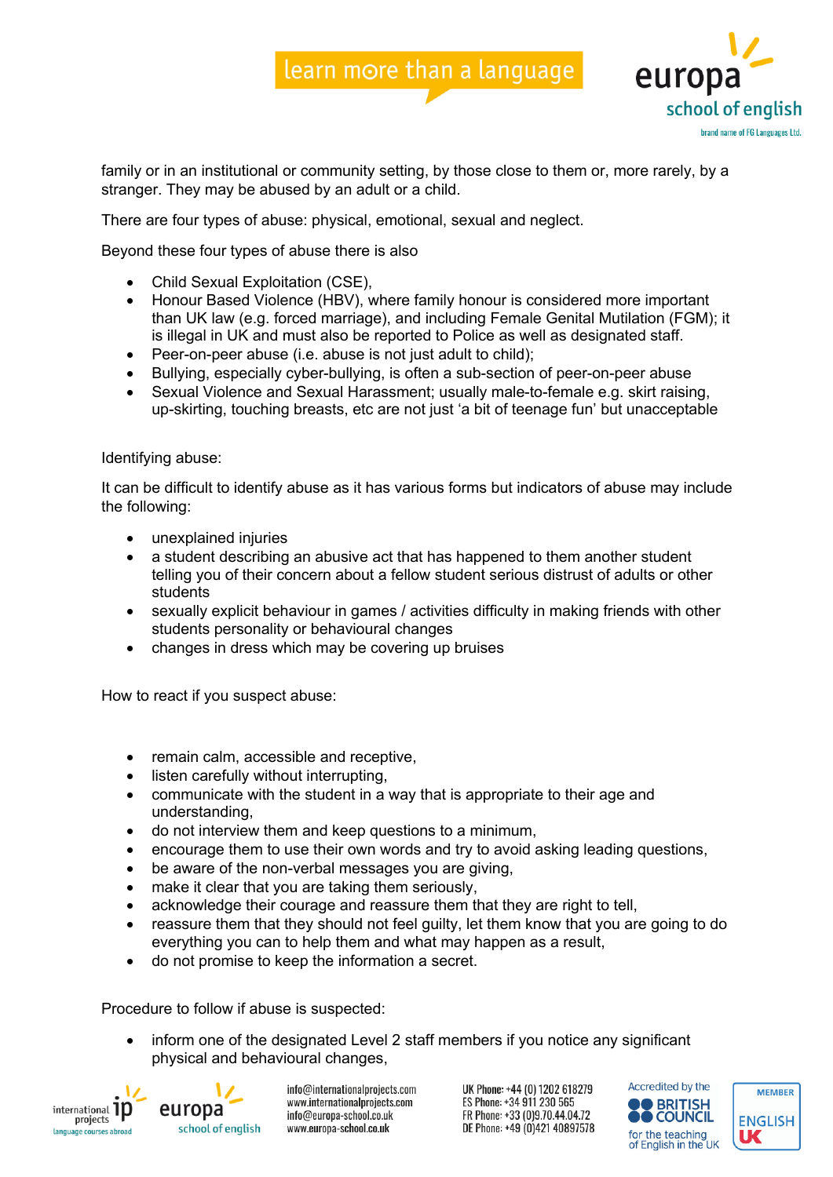## learn more than a language



family or in an institutional or community setting, by those close to them or, more rarely, by a stranger. They may be abused by an adult or a child.

There are four types of abuse: physical, emotional, sexual and neglect.

Beyond these four types of abuse there is also

- Child Sexual Exploitation (CSE),
- Honour Based Violence (HBV), where family honour is considered more important than UK law (e.g. forced marriage), and including Female Genital Mutilation (FGM); it is illegal in UK and must also be reported to Police as well as designated staff.
- Peer-on-peer abuse (i.e. abuse is not just adult to child);
- Bullying, especially cyber-bullying, is often a sub-section of peer-on-peer abuse
- Sexual Violence and Sexual Harassment; usually male-to-female e.g. skirt raising, up-skirting, touching breasts, etc are not just 'a bit of teenage fun' but unacceptable

#### Identifying abuse:

It can be difficult to identify abuse as it has various forms but indicators of abuse may include the following:

- unexplained injuries
- a student describing an abusive act that has happened to them another student telling you of their concern about a fellow student serious distrust of adults or other students
- sexually explicit behaviour in games / activities difficulty in making friends with other students personality or behavioural changes
- changes in dress which may be covering up bruises

How to react if you suspect abuse:

- remain calm, accessible and receptive,
- listen carefully without interrupting,
- communicate with the student in a way that is appropriate to their age and understanding,
- do not interview them and keep questions to a minimum,
- encourage them to use their own words and try to avoid asking leading questions,
- be aware of the non-verbal messages you are giving,
- make it clear that you are taking them seriously,
- acknowledge their courage and reassure them that they are right to tell,
- reassure them that they should not feel guilty, let them know that you are going to do everything you can to help them and what may happen as a result,
- do not promise to keep the information a secret.

Procedure to follow if abuse is suspected:

• inform one of the designated Level 2 staff members if you notice any significant physical and behavioural changes,





info@internationalprojects.com www.internationalprojects.com info@europa-school.co.uk www.europa-school.co.uk

UK Phone: +44 (0) 1202 618279 ES Phone: +34 911 230 565 FR Phone: +33 (0)9.70.44.04.72 DE Phone: +49 (0)421 40897578



**MEMBER**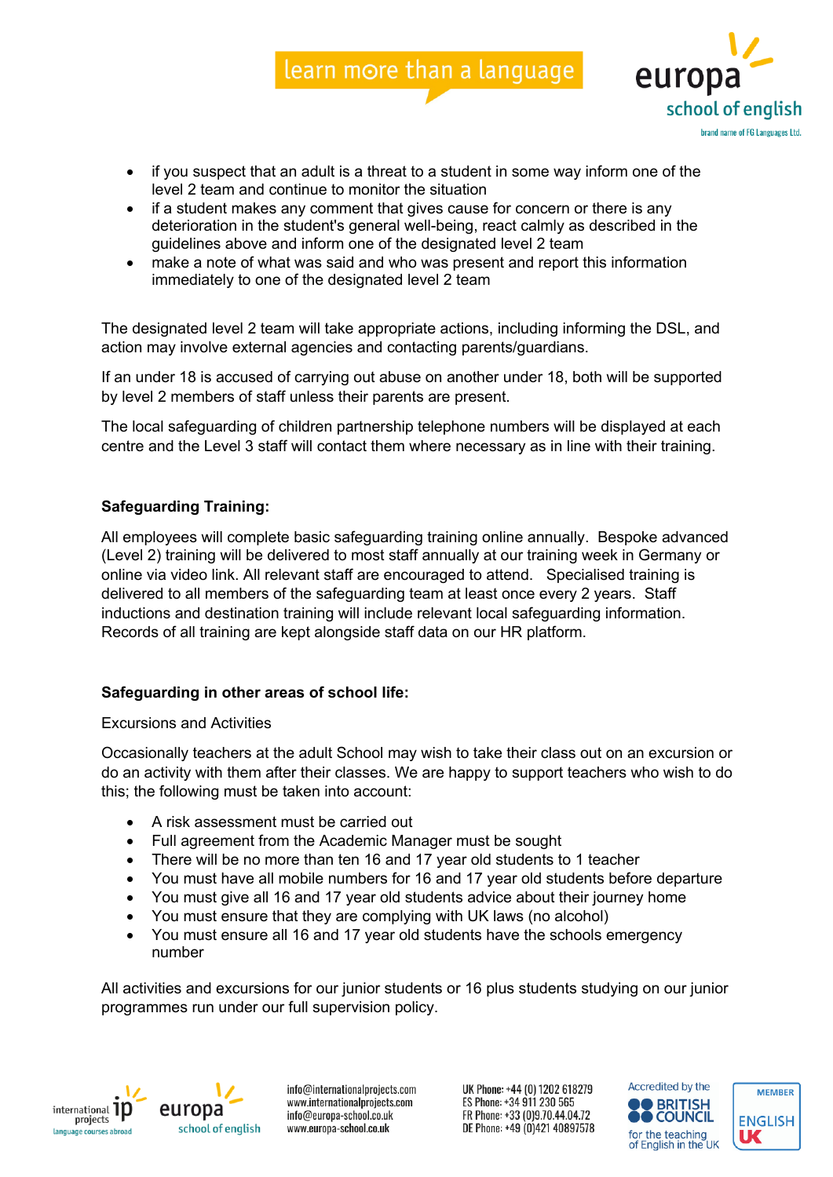



- if you suspect that an adult is a threat to a student in some way inform one of the level 2 team and continue to monitor the situation
- if a student makes any comment that gives cause for concern or there is any deterioration in the student's general well-being, react calmly as described in the guidelines above and inform one of the designated level 2 team
- make a note of what was said and who was present and report this information immediately to one of the designated level 2 team

The designated level 2 team will take appropriate actions, including informing the DSL, and action may involve external agencies and contacting parents/guardians.

If an under 18 is accused of carrying out abuse on another under 18, both will be supported by level 2 members of staff unless their parents are present.

The local safeguarding of children partnership telephone numbers will be displayed at each centre and the Level 3 staff will contact them where necessary as in line with their training.

#### **Safeguarding Training:**

All employees will complete basic safeguarding training online annually. Bespoke advanced (Level 2) training will be delivered to most staff annually at our training week in Germany or online via video link. All relevant staff are encouraged to attend. Specialised training is delivered to all members of the safeguarding team at least once every 2 years. Staff inductions and destination training will include relevant local safeguarding information. Records of all training are kept alongside staff data on our HR platform.

#### **Safeguarding in other areas of school life:**

#### Excursions and Activities

Occasionally teachers at the adult School may wish to take their class out on an excursion or do an activity with them after their classes. We are happy to support teachers who wish to do this; the following must be taken into account:

- A risk assessment must be carried out
- Full agreement from the Academic Manager must be sought
- There will be no more than ten 16 and 17 year old students to 1 teacher
- You must have all mobile numbers for 16 and 17 year old students before departure
- You must give all 16 and 17 year old students advice about their journey home
- You must ensure that they are complying with UK laws (no alcohol)
- You must ensure all 16 and 17 year old students have the schools emergency number

All activities and excursions for our junior students or 16 plus students studying on our junior programmes run under our full supervision policy.



europa school of english

info@internationalprojects.com www.internationalprojects.com info@europa-school.co.uk www.europa-school.co.uk



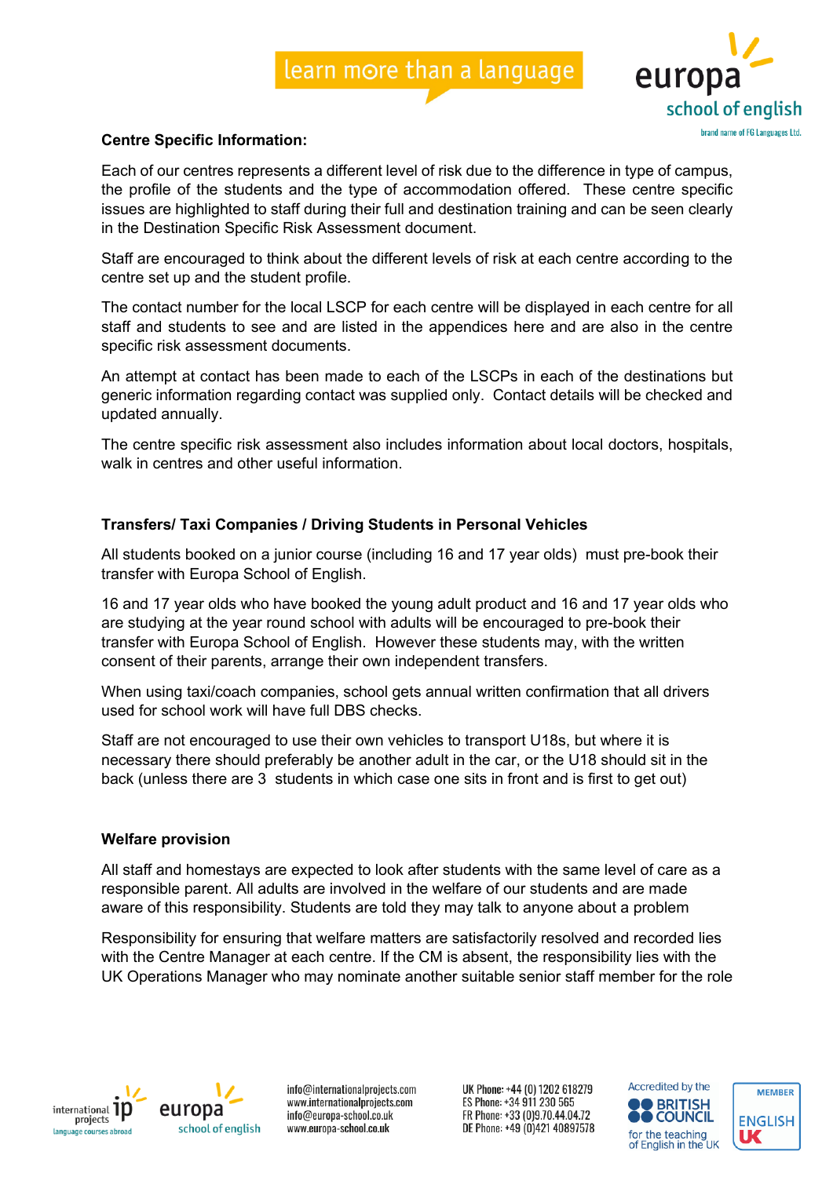

#### **Centre Specific Information:**

Each of our centres represents a different level of risk due to the difference in type of campus, the profile of the students and the type of accommodation offered. These centre specific issues are highlighted to staff during their full and destination training and can be seen clearly in the Destination Specific Risk Assessment document.

Staff are encouraged to think about the different levels of risk at each centre according to the centre set up and the student profile.

The contact number for the local LSCP for each centre will be displayed in each centre for all staff and students to see and are listed in the appendices here and are also in the centre specific risk assessment documents.

An attempt at contact has been made to each of the LSCPs in each of the destinations but generic information regarding contact was supplied only. Contact details will be checked and updated annually.

The centre specific risk assessment also includes information about local doctors, hospitals, walk in centres and other useful information.

#### **Transfers/ Taxi Companies / Driving Students in Personal Vehicles**

All students booked on a junior course (including 16 and 17 year olds) must pre-book their transfer with Europa School of English.

16 and 17 year olds who have booked the young adult product and 16 and 17 year olds who are studying at the year round school with adults will be encouraged to pre-book their transfer with Europa School of English. However these students may, with the written consent of their parents, arrange their own independent transfers.

When using taxi/coach companies, school gets annual written confirmation that all drivers used for school work will have full DBS checks.

Staff are not encouraged to use their own vehicles to transport U18s, but where it is necessary there should preferably be another adult in the car, or the U18 should sit in the back (unless there are 3 students in which case one sits in front and is first to get out)

#### **Welfare provision**

All staff and homestays are expected to look after students with the same level of care as a responsible parent. All adults are involved in the welfare of our students and are made aware of this responsibility. Students are told they may talk to anyone about a problem

Responsibility for ensuring that welfare matters are satisfactorily resolved and recorded lies with the Centre Manager at each centre. If the CM is absent, the responsibility lies with the UK Operations Manager who may nominate another suitable senior staff member for the role



europa school of english

info@internationalprojects.com www.internationalprojects.com info@europa-school.co.uk www.europa-school.co.uk



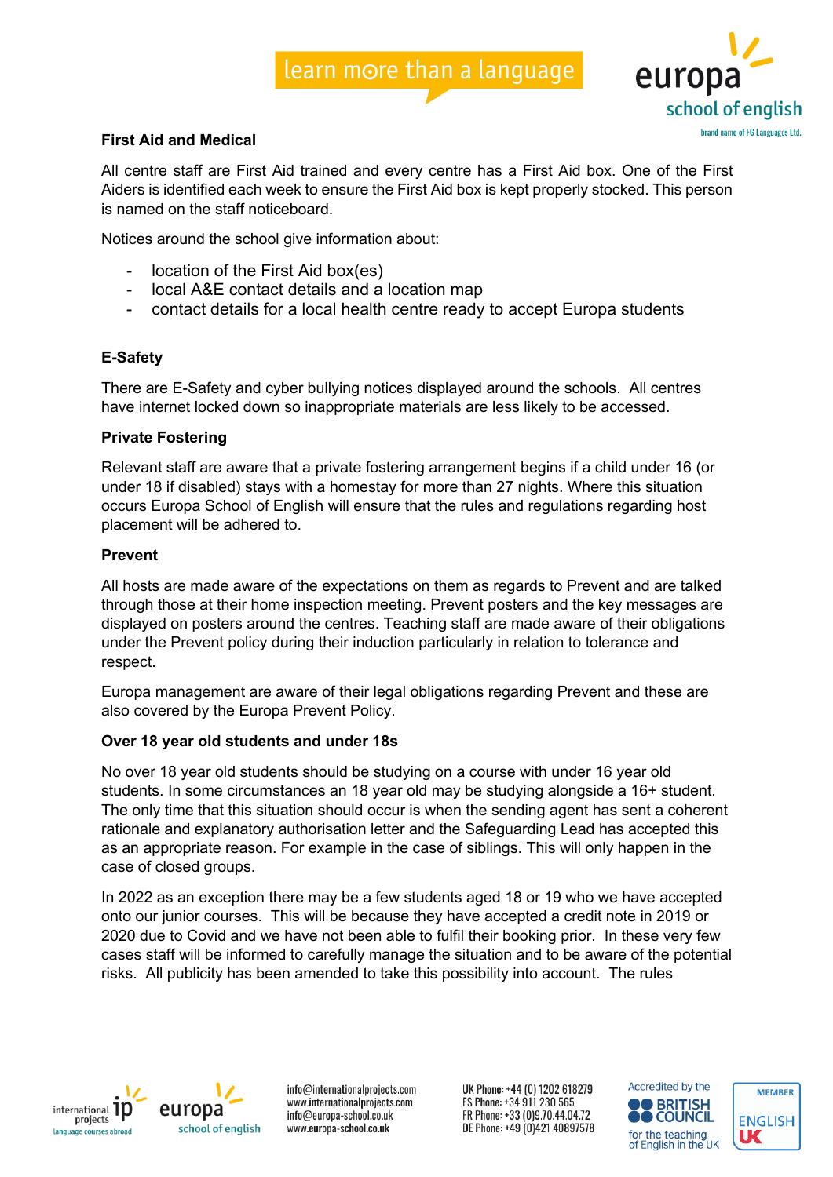## learn more than a language



#### **First Aid and Medical**

All centre staff are First Aid trained and every centre has a First Aid box. One of the First Aiders is identified each week to ensure the First Aid box is kept properly stocked. This person is named on the staff noticeboard.

Notices around the school give information about:

- location of the First Aid box(es)
- local A&E contact details and a location map
- contact details for a local health centre ready to accept Europa students

#### **E-Safety**

There are E-Safety and cyber bullying notices displayed around the schools. All centres have internet locked down so inappropriate materials are less likely to be accessed.

#### **Private Fostering**

Relevant staff are aware that a private fostering arrangement begins if a child under 16 (or under 18 if disabled) stays with a homestay for more than 27 nights. Where this situation occurs Europa School of English will ensure that the rules and regulations regarding host placement will be adhered to.

#### **Prevent**

All hosts are made aware of the expectations on them as regards to Prevent and are talked through those at their home inspection meeting. Prevent posters and the key messages are displayed on posters around the centres. Teaching staff are made aware of their obligations under the Prevent policy during their induction particularly in relation to tolerance and respect.

Europa management are aware of their legal obligations regarding Prevent and these are also covered by the Europa Prevent Policy.

#### **Over 18 year old students and under 18s**

No over 18 year old students should be studying on a course with under 16 year old students. In some circumstances an 18 year old may be studying alongside a 16+ student. The only time that this situation should occur is when the sending agent has sent a coherent rationale and explanatory authorisation letter and the Safeguarding Lead has accepted this as an appropriate reason. For example in the case of siblings. This will only happen in the case of closed groups.

In 2022 as an exception there may be a few students aged 18 or 19 who we have accepted onto our junior courses. This will be because they have accepted a credit note in 2019 or 2020 due to Covid and we have not been able to fulfil their booking prior. In these very few cases staff will be informed to carefully manage the situation and to be aware of the potential risks. All publicity has been amended to take this possibility into account. The rules



europa school of english

info@internationalprojects.com www.internationalprojects.com info@europa-school.co.uk www.europa-school.co.uk



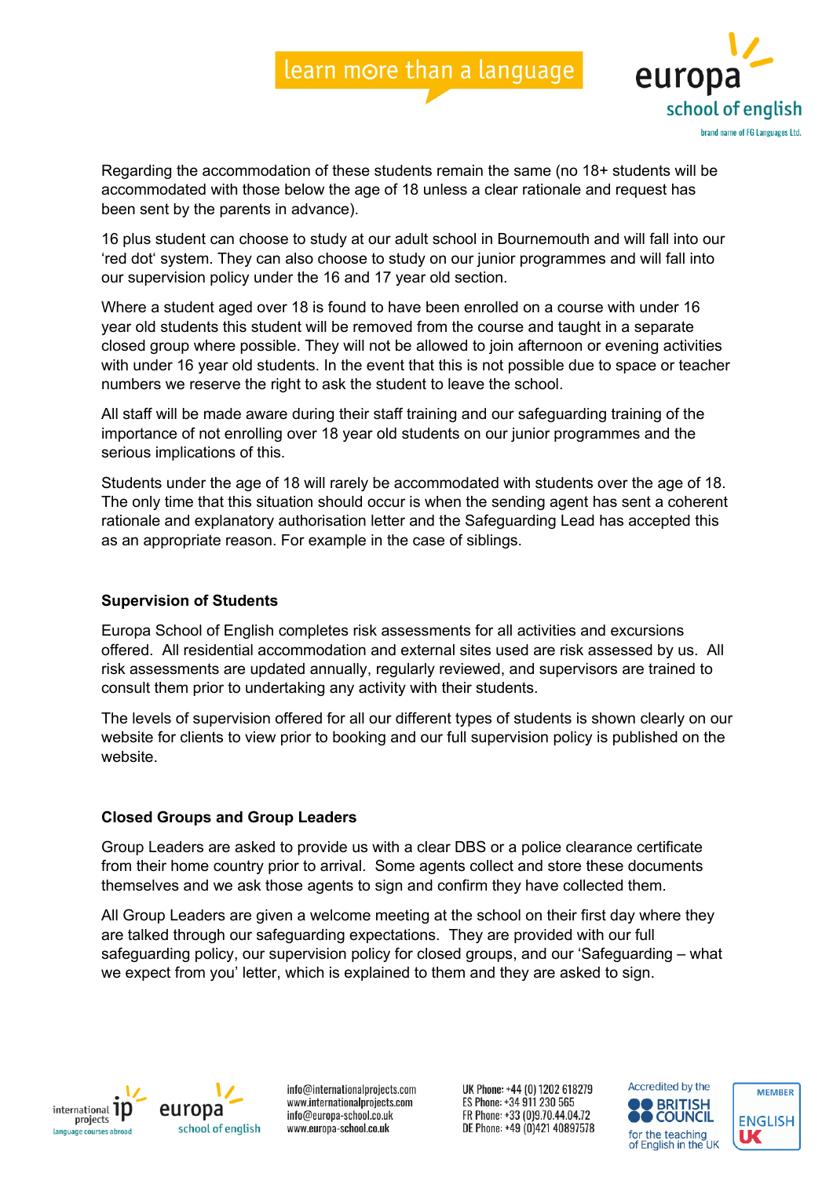

Regarding the accommodation of these students remain the same (no 18+ students will be accommodated with those below the age of 18 unless a clear rationale and request has been sent by the parents in advance).

16 plus student can choose to study at our adult school in Bournemouth and will fall into our 'red dot' system. They can also choose to study on our junior programmes and will fall into our supervision policy under the 16 and 17 year old section.

Where a student aged over 18 is found to have been enrolled on a course with under 16 year old students this student will be removed from the course and taught in a separate closed group where possible. They will not be allowed to join afternoon or evening activities with under 16 year old students. In the event that this is not possible due to space or teacher numbers we reserve the right to ask the student to leave the school.

All staff will be made aware during their staff training and our safeguarding training of the importance of not enrolling over 18 year old students on our junior programmes and the serious implications of this.

Students under the age of 18 will rarely be accommodated with students over the age of 18. The only time that this situation should occur is when the sending agent has sent a coherent rationale and explanatory authorisation letter and the Safeguarding Lead has accepted this as an appropriate reason. For example in the case of siblings.

#### **Supervision of Students**

Europa School of English completes risk assessments for all activities and excursions offered. All residential accommodation and external sites used are risk assessed by us. All risk assessments are updated annually, regularly reviewed, and supervisors are trained to consult them prior to undertaking any activity with their students.

The levels of supervision offered for all our different types of students is shown clearly on our website for clients to view prior to booking and our full supervision policy is published on the website.

#### **Closed Groups and Group Leaders**

Group Leaders are asked to provide us with a clear DBS or a police clearance certificate from their home country prior to arrival. Some agents collect and store these documents themselves and we ask those agents to sign and confirm they have collected them.

All Group Leaders are given a welcome meeting at the school on their first day where they are talked through our safeguarding expectations. They are provided with our full safeguarding policy, our supervision policy for closed groups, and our 'Safeguarding – what we expect from you' letter, which is explained to them and they are asked to sign.



europa school of english

info@internationalprojects.com www.internationalprojects.com info@europa-school.co.uk www.europa-school.co.uk



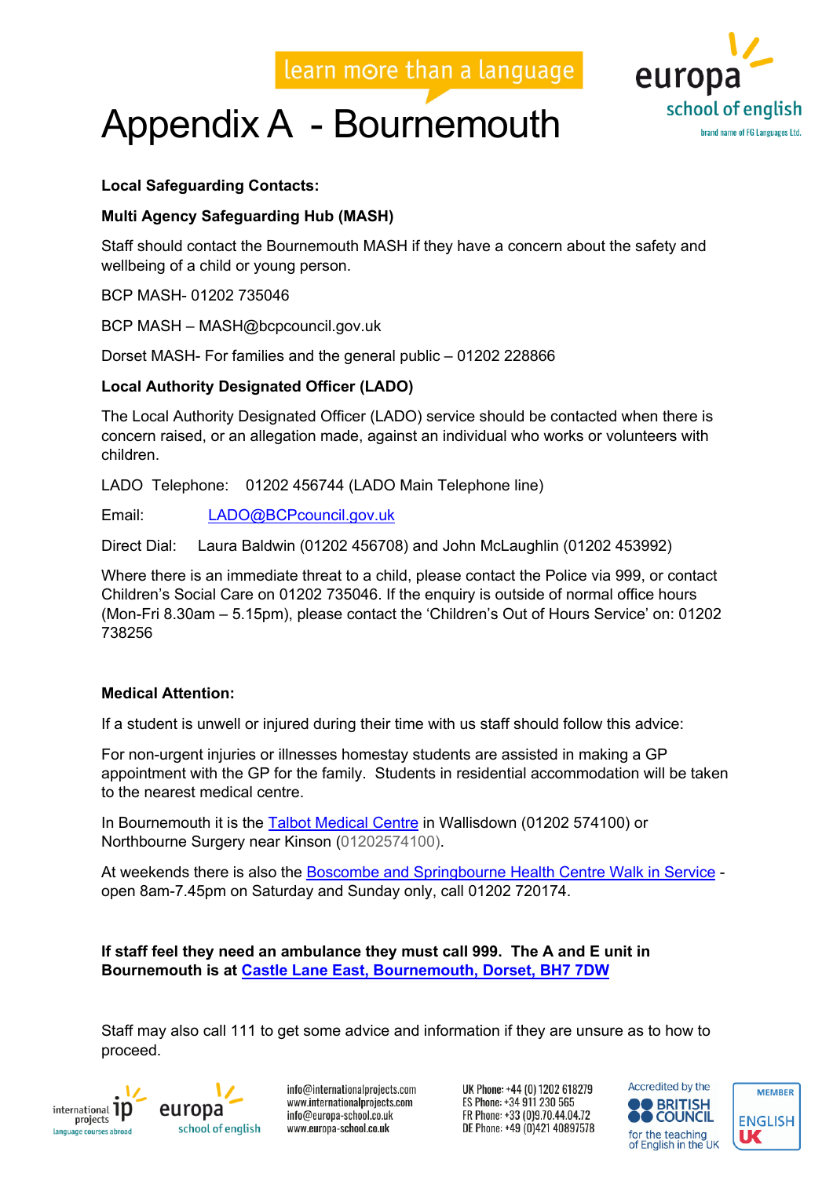

## Appendix A - Bournemouth

#### **Local Safeguarding Contacts:**

#### **Multi Agency Safeguarding Hub (MASH)**

Staff should contact the Bournemouth MASH if they have a concern about the safety and wellbeing of a child or young person.

BCP MASH- 01202 735046

BCP MASH – MASH@bcpcouncil.gov.uk

Dorset MASH- For families and the general public – 01202 228866

#### **Local Authority Designated Officer (LADO)**

The Local Authority Designated Officer (LADO) service should be contacted when there is concern raised, or an allegation made, against an individual who works or volunteers with children.

LADO Telephone: 01202 456744 (LADO Main Telephone line)

Email: LADO@BCPcouncil.gov.uk

Direct Dial: Laura Baldwin (01202 456708) and John McLaughlin (01202 453992)

Where there is an immediate threat to a child, please contact the Police via 999, or contact Children's Social Care on 01202 735046. If the enquiry is outside of normal office hours (Mon-Fri 8.30am – 5.15pm), please contact the 'Children's Out of Hours Service' on: 01202 738256

#### **Medical Attention:**

If a student is unwell or injured during their time with us staff should follow this advice:

For non-urgent injuries or illnesses homestay students are assisted in making a GP appointment with the GP for the family. Students in residential accommodation will be taken to the nearest medical centre.

In Bournemouth it is the Talbot Medical Centre in Wallisdown (01202 574100) or Northbourne Surgery near Kinson (01202574100).

At weekends there is also the Boscombe and Springbourne Health Centre Walk in Service open 8am-7.45pm on Saturday and Sunday only, call 01202 720174.

**If staff feel they need an ambulance they must call 999. The A and E unit in Bournemouth is at Castle Lane East, Bournemouth, Dorset, BH7 7DW**

Staff may also call 111 to get some advice and information if they are unsure as to how to proceed.



europa school of english

info@internationalprojects.com www.internationalprojects.com info@europa-school.co.uk www.europa-school.co.uk



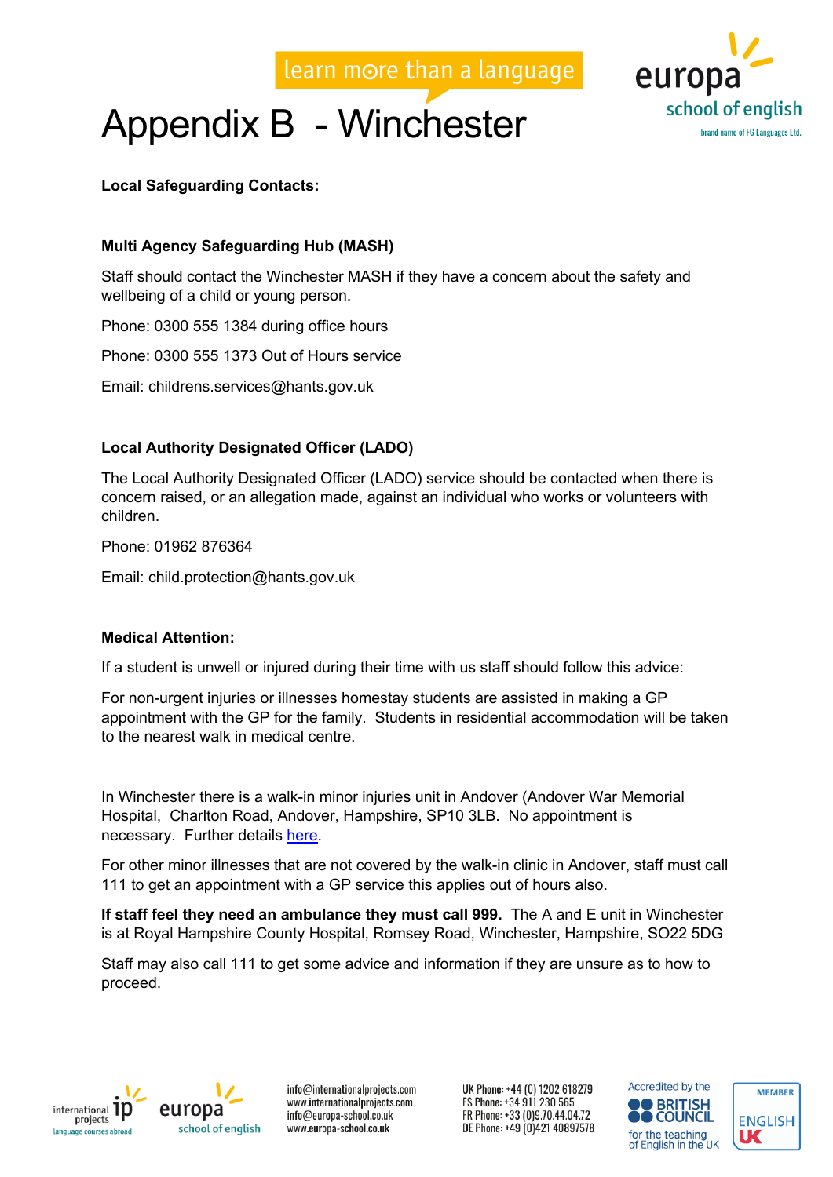## Appendix B - Winchester



#### **Local Safeguarding Contacts:**

#### **Multi Agency Safeguarding Hub (MASH)**

Staff should contact the Winchester MASH if they have a concern about the safety and wellbeing of a child or young person.

Phone: 0300 555 1384 during office hours

Phone: 0300 555 1373 Out of Hours service

Email: childrens.services@hants.gov.uk

#### **Local Authority Designated Officer (LADO)**

The Local Authority Designated Officer (LADO) service should be contacted when there is concern raised, or an allegation made, against an individual who works or volunteers with children.

Phone: 01962 876364

Email: child.protection@hants.gov.uk

#### **Medical Attention:**

If a student is unwell or injured during their time with us staff should follow this advice:

For non-urgent injuries or illnesses homestay students are assisted in making a GP appointment with the GP for the family. Students in residential accommodation will be taken to the nearest walk in medical centre.

In Winchester there is a walk-in minor injuries unit in Andover (Andover War Memorial Hospital, Charlton Road, Andover, Hampshire, SP10 3LB. No appointment is necessary. Further details here.

For other minor illnesses that are not covered by the walk-in clinic in Andover, staff must call 111 to get an appointment with a GP service this applies out of hours also.

**If staff feel they need an ambulance they must call 999.** The A and E unit in Winchester is at Royal Hampshire County Hospital, Romsey Road, Winchester, Hampshire, SO22 5DG

Staff may also call 111 to get some advice and information if they are unsure as to how to proceed.





info@internationalprojects.com www.internationalprojects.com info@europa-school.co.uk www.europa-school.co.uk



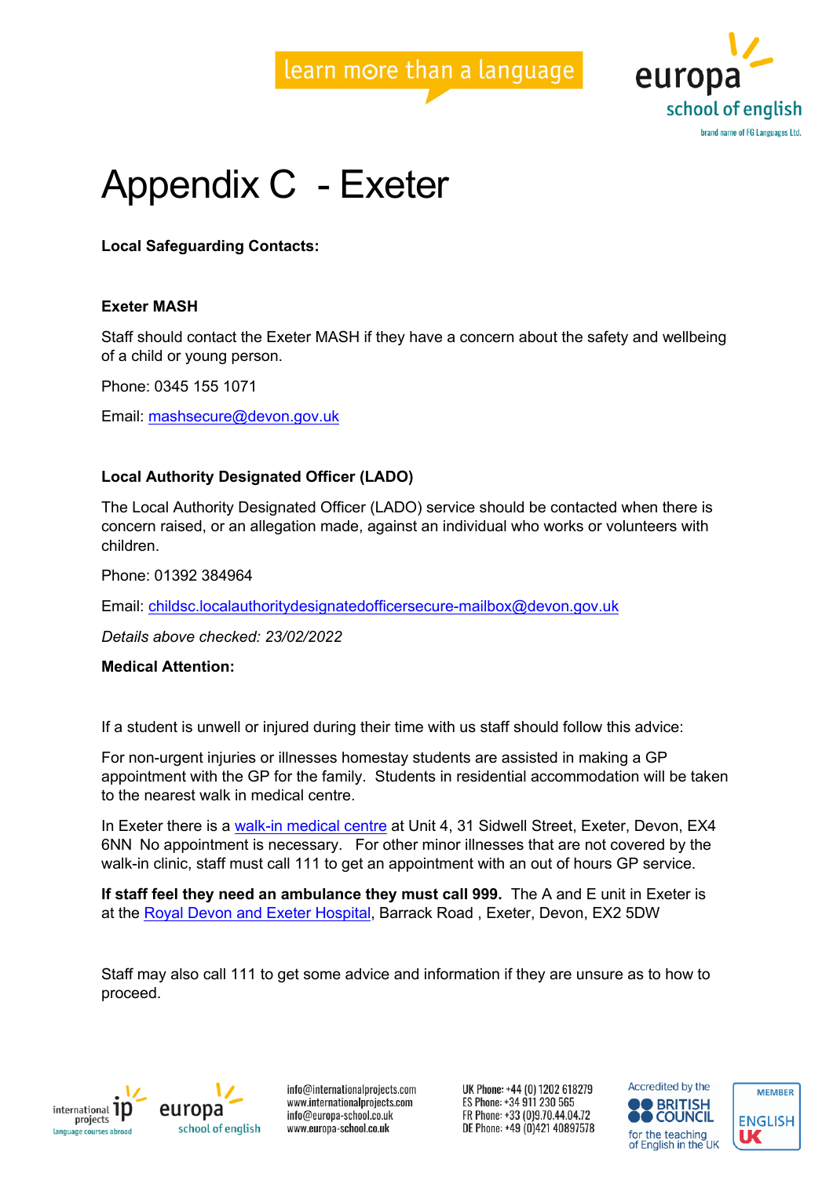



## Appendix C - Exeter

**Local Safeguarding Contacts:**

#### **Exeter MASH**

Staff should contact the Exeter MASH if they have a concern about the safety and wellbeing of a child or young person.

Phone: 0345 155 1071

Email: mashsecure@devon.gov.uk

#### **Local Authority Designated Officer (LADO)**

The Local Authority Designated Officer (LADO) service should be contacted when there is concern raised, or an allegation made, against an individual who works or volunteers with children.

Phone: 01392 384964

Email: childsc.localauthoritydesignatedofficersecure-mailbox@devon.gov.uk

*Details above checked: 23/02/2022*

#### **Medical Attention:**

If a student is unwell or injured during their time with us staff should follow this advice:

For non-urgent injuries or illnesses homestay students are assisted in making a GP appointment with the GP for the family. Students in residential accommodation will be taken to the nearest walk in medical centre.

In Exeter there is a walk-in medical centre at Unit 4, 31 Sidwell Street, Exeter, Devon, EX4 6NN No appointment is necessary. For other minor illnesses that are not covered by the walk-in clinic, staff must call 111 to get an appointment with an out of hours GP service.

**If staff feel they need an ambulance they must call 999.** The A and E unit in Exeter is at the Royal Devon and Exeter Hospital, Barrack Road , Exeter, Devon, EX2 5DW

Staff may also call 111 to get some advice and information if they are unsure as to how to proceed.





info@internationalprojects.com www.internationalprojects.com info@europa-school.co.uk www.europa-school.co.uk



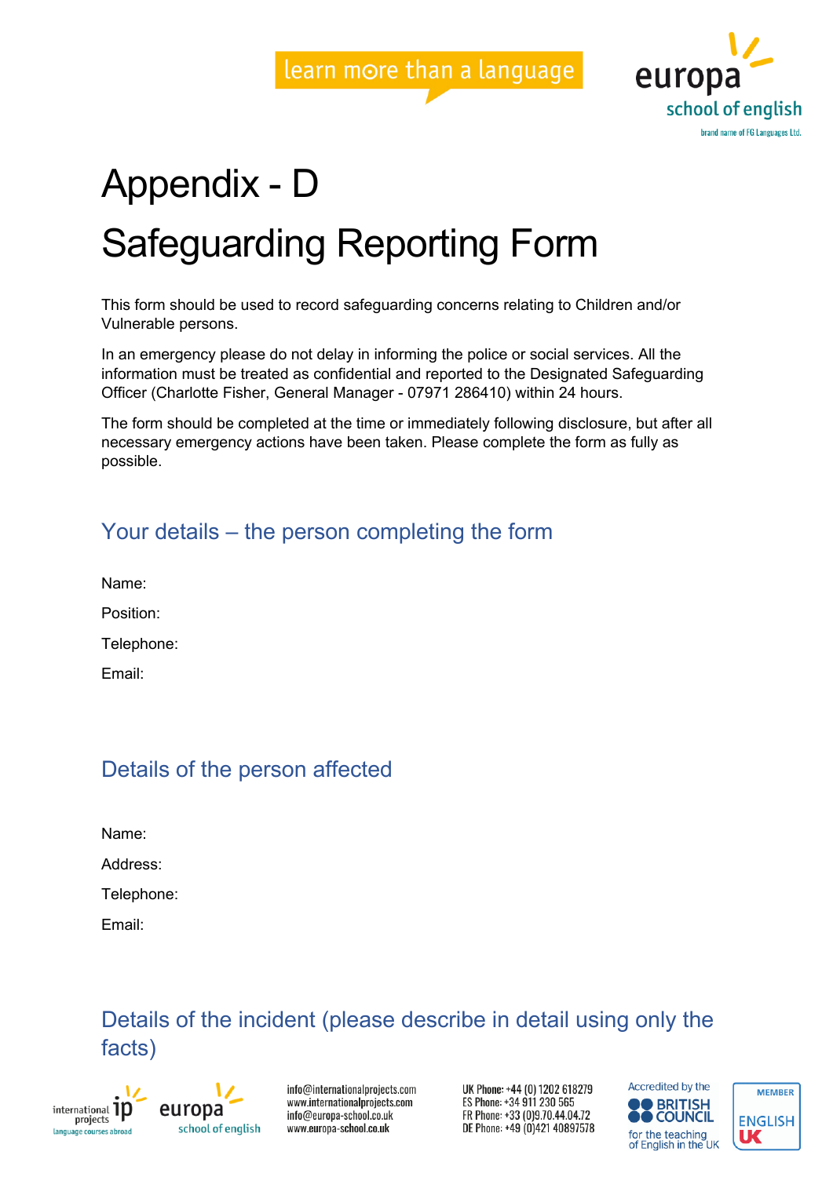

# Appendix - D Safeguarding Reporting Form

This form should be used to record safeguarding concerns relating to Children and/or Vulnerable persons.

In an emergency please do not delay in informing the police or social services. All the information must be treated as confidential and reported to the Designated Safeguarding Officer (Charlotte Fisher, General Manager - 07971 286410) within 24 hours.

The form should be completed at the time or immediately following disclosure, but after all necessary emergency actions have been taken. Please complete the form as fully as possible.

### Your details – the person completing the form

| Name:      |
|------------|
| Position:  |
| Telephone: |

Email:

## Details of the person affected

Address:

Telephone:

Email:

### Details of the incident (please describe in detail using only the facts)





info@internationalprojects.com www.internationalprojects.com info@europa-school.co.uk www.europa-school.co.uk



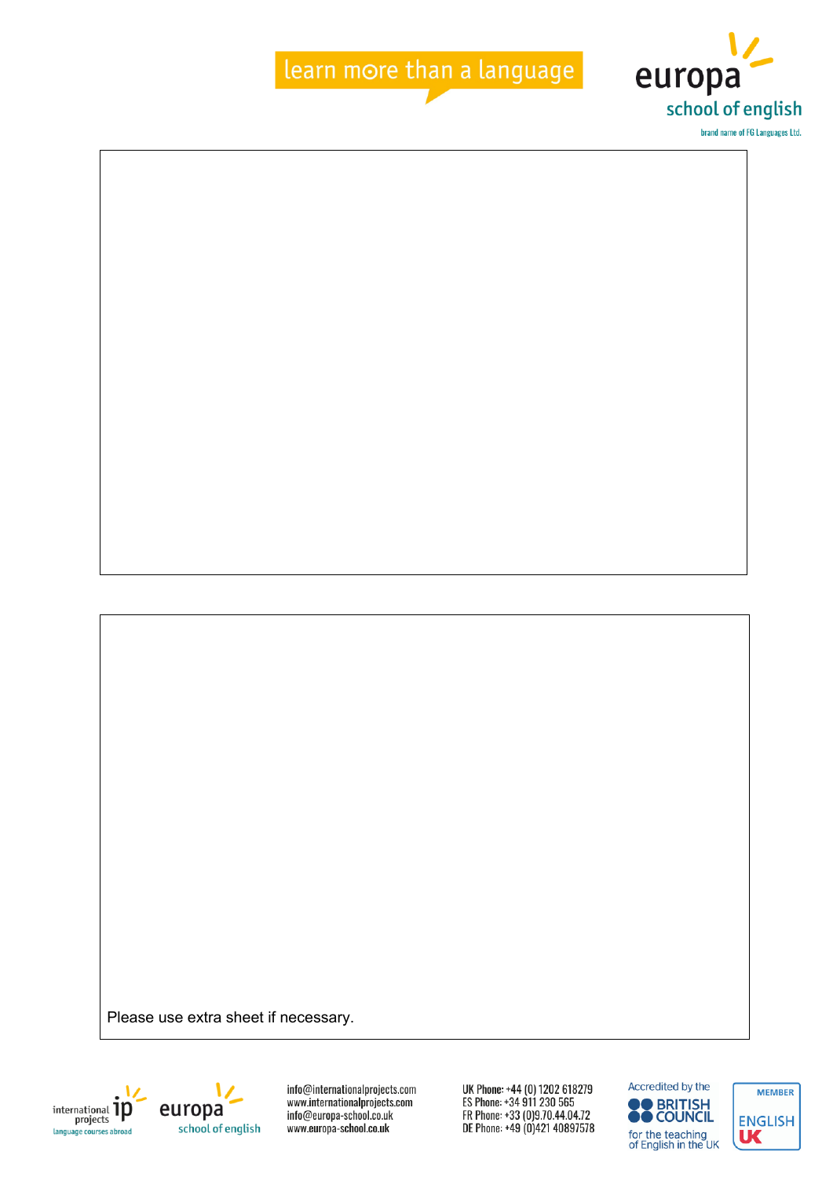









info@internationalprojects.com www.internationalprojects.com info@europa-school.co.uk www.europa-school.co.uk